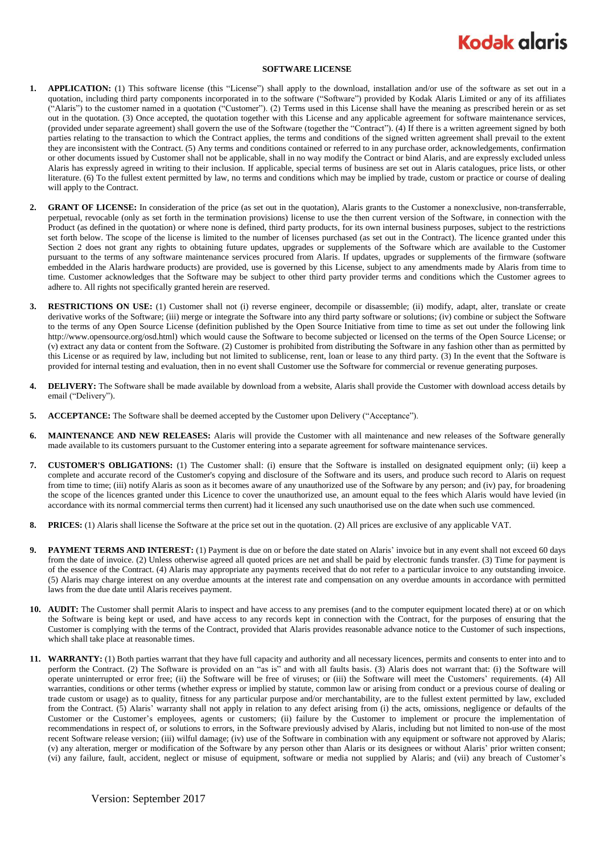## **Kodak glaris**

## **SOFTWARE LICENSE**

- **1. APPLICATION:** (1) This software license (this "License") shall apply to the download, installation and/or use of the software as set out in a quotation, including third party components incorporated in to the software ("Software") provided by Kodak Alaris Limited or any of its affiliates ("Alaris") to the customer named in a quotation ("Customer"). (2) Terms used in this License shall have the meaning as prescribed herein or as set out in the quotation. (3) Once accepted, the quotation together with this License and any applicable agreement for software maintenance services, (provided under separate agreement) shall govern the use of the Software (together the "Contract"). (4) If there is a written agreement signed by both parties relating to the transaction to which the Contract applies, the terms and conditions of the signed written agreement shall prevail to the extent they are inconsistent with the Contract. (5) Any terms and conditions contained or referred to in any purchase order, acknowledgements, confirmation or other documents issued by Customer shall not be applicable, shall in no way modify the Contract or bind Alaris, and are expressly excluded unless Alaris has expressly agreed in writing to their inclusion. If applicable, special terms of business are set out in Alaris catalogues, price lists, or other literature. (6) To the fullest extent permitted by law, no terms and conditions which may be implied by trade, custom or practice or course of dealing will apply to the Contract.
- **2. GRANT OF LICENSE:** In consideration of the price (as set out in the quotation), Alaris grants to the Customer a nonexclusive, non-transferrable, perpetual, revocable (only as set forth in the termination provisions) license to use the then current version of the Software, in connection with the Product (as defined in the quotation) or where none is defined, third party products, for its own internal business purposes, subject to the restrictions set forth below. The scope of the license is limited to the number of licenses purchased (as set out in the Contract). The licence granted under this Section 2 does not grant any rights to obtaining future updates, upgrades or supplements of the Software which are available to the Customer pursuant to the terms of any software maintenance services procured from Alaris. If updates, upgrades or supplements of the firmware (software embedded in the Alaris hardware products) are provided, use is governed by this License, subject to any amendments made by Alaris from time to time. Customer acknowledges that the Software may be subject to other third party provider terms and conditions which the Customer agrees to adhere to. All rights not specifically granted herein are reserved.
- **3. RESTRICTIONS ON USE:** (1) Customer shall not (i) reverse engineer, decompile or disassemble; (ii) modify, adapt, alter, translate or create derivative works of the Software; (iii) merge or integrate the Software into any third party software or solutions; (iv) combine or subject the Software to the terms of any Open Source License (definition published by the Open Source Initiative from time to time as set out under the following link http://www.opensource.org/osd.html) which would cause the Software to become subjected or licensed on the terms of the Open Source License; or (v) extract any data or content from the Software. (2) Customer is prohibited from distributing the Software in any fashion other than as permitted by this License or as required by law, including but not limited to sublicense, rent, loan or lease to any third party. (3) In the event that the Software is provided for internal testing and evaluation, then in no event shall Customer use the Software for commercial or revenue generating purposes.
- **4. DELIVERY:** The Software shall be made available by download from a website, Alaris shall provide the Customer with download access details by email ("Delivery").
- **5. ACCEPTANCE:** The Software shall be deemed accepted by the Customer upon Delivery ("Acceptance").
- **6. MAINTENANCE AND NEW RELEASES:** Alaris will provide the Customer with all maintenance and new releases of the Software generally made available to its customers pursuant to the Customer entering into a separate agreement for software maintenance services.
- **7. CUSTOMER'S OBLIGATIONS:** (1) The Customer shall: (i) ensure that the Software is installed on designated equipment only; (ii) keep a complete and accurate record of the Customer's copying and disclosure of the Software and its users, and produce such record to Alaris on request from time to time; (iii) notify Alaris as soon as it becomes aware of any unauthorized use of the Software by any person; and (iv) pay, for broadening the scope of the licences granted under this Licence to cover the unauthorized use, an amount equal to the fees which Alaris would have levied (in accordance with its normal commercial terms then current) had it licensed any such unauthorised use on the date when such use commenced.
- **8. PRICES:** (1) Alaris shall license the Software at the price set out in the quotation. (2) All prices are exclusive of any applicable VAT.
- **9. PAYMENT TERMS AND INTEREST:** (1) Payment is due on or before the date stated on Alaris' invoice but in any event shall not exceed 60 days from the date of invoice. (2) Unless otherwise agreed all quoted prices are net and shall be paid by electronic funds transfer. (3) Time for payment is of the essence of the Contract. (4) Alaris may appropriate any payments received that do not refer to a particular invoice to any outstanding invoice. (5) Alaris may charge interest on any overdue amounts at the interest rate and compensation on any overdue amounts in accordance with permitted laws from the due date until Alaris receives payment.
- **10. AUDIT:** The Customer shall permit Alaris to inspect and have access to any premises (and to the computer equipment located there) at or on which the Software is being kept or used, and have access to any records kept in connection with the Contract, for the purposes of ensuring that the Customer is complying with the terms of the Contract, provided that Alaris provides reasonable advance notice to the Customer of such inspections, which shall take place at reasonable times.
- **11. WARRANTY:** (1) Both parties warrant that they have full capacity and authority and all necessary licences, permits and consents to enter into and to perform the Contract. (2) The Software is provided on an "as is" and with all faults basis. (3) Alaris does not warrant that: (i) the Software will operate uninterrupted or error free; (ii) the Software will be free of viruses; or (iii) the Software will meet the Customers' requirements. (4) All warranties, conditions or other terms (whether express or implied by statute, common law or arising from conduct or a previous course of dealing or trade custom or usage) as to quality, fitness for any particular purpose and/or merchantability, are to the fullest extent permitted by law, excluded from the Contract. (5) Alaris' warranty shall not apply in relation to any defect arising from (i) the acts, omissions, negligence or defaults of the Customer or the Customer's employees, agents or customers; (ii) failure by the Customer to implement or procure the implementation of recommendations in respect of, or solutions to errors, in the Software previously advised by Alaris, including but not limited to non-use of the most recent Software release version; (iii) wilful damage; (iv) use of the Software in combination with any equipment or software not approved by Alaris; (v) any alteration, merger or modification of the Software by any person other than Alaris or its designees or without Alaris' prior written consent; (vi) any failure, fault, accident, neglect or misuse of equipment, software or media not supplied by Alaris; and (vii) any breach of Customer's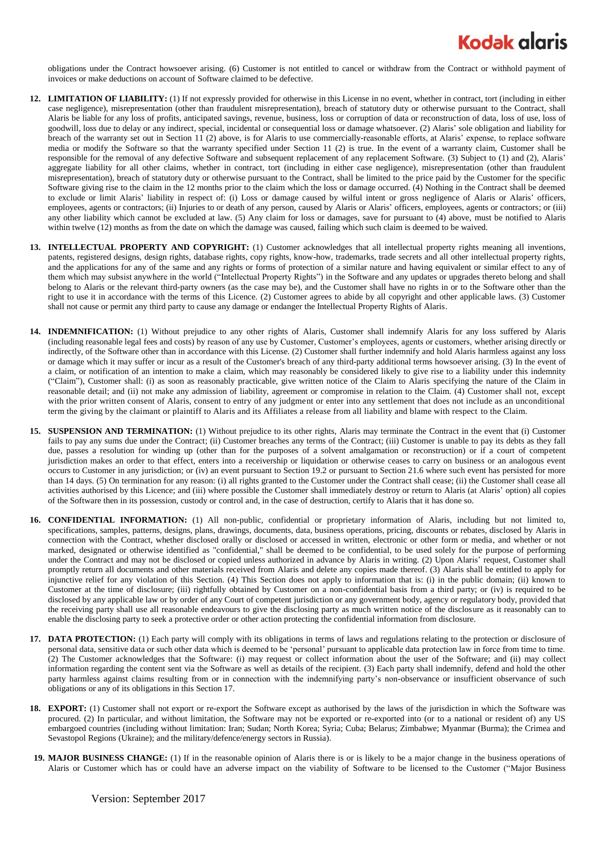## **Kodak alaris**

obligations under the Contract howsoever arising. (6) Customer is not entitled to cancel or withdraw from the Contract or withhold payment of invoices or make deductions on account of Software claimed to be defective.

- **12. LIMITATION OF LIABILITY:** (1) If not expressly provided for otherwise in this License in no event, whether in contract, tort (including in either case negligence), misrepresentation (other than fraudulent misrepresentation), breach of statutory duty or otherwise pursuant to the Contract, shall Alaris be liable for any loss of profits, anticipated savings, revenue, business, loss or corruption of data or reconstruction of data, loss of use, loss of goodwill, loss due to delay or any indirect, special, incidental or consequential loss or damage whatsoever. (2) Alaris' sole obligation and liability for breach of the warranty set out in Section 11 (2) above, is for Alaris to use commercially-reasonable efforts, at Alaris' expense, to replace software media or modify the Software so that the warranty specified under Section 11 (2) is true. In the event of a warranty claim, Customer shall be responsible for the removal of any defective Software and subsequent replacement of any replacement Software. (3) Subject to (1) and (2), Alaris' aggregate liability for all other claims, whether in contract, tort (including in either case negligence), misrepresentation (other than fraudulent misrepresentation), breach of statutory duty or otherwise pursuant to the Contract, shall be limited to the price paid by the Customer for the specific Software giving rise to the claim in the 12 months prior to the claim which the loss or damage occurred. (4) Nothing in the Contract shall be deemed to exclude or limit Alaris' liability in respect of: (i) Loss or damage caused by wilful intent or gross negligence of Alaris or Alaris' officers, employees, agents or contractors; (ii) Injuries to or death of any person, caused by Alaris or Alaris' officers, employees, agents or contractors; or (iii) any other liability which cannot be excluded at law. (5) Any claim for loss or damages, save for pursuant to (4) above, must be notified to Alaris within twelve (12) months as from the date on which the damage was caused, failing which such claim is deemed to be waived.
- **13. INTELLECTUAL PROPERTY AND COPYRIGHT:** (1) Customer acknowledges that all intellectual property rights meaning all inventions, patents, registered designs, design rights, database rights, copy rights, know-how, trademarks, trade secrets and all other intellectual property rights, and the applications for any of the same and any rights or forms of protection of a similar nature and having equivalent or similar effect to any of them which may subsist anywhere in the world ("Intellectual Property Rights") in the Software and any updates or upgrades thereto belong and shall belong to Alaris or the relevant third-party owners (as the case may be), and the Customer shall have no rights in or to the Software other than the right to use it in accordance with the terms of this Licence. (2) Customer agrees to abide by all copyright and other applicable laws. (3) Customer shall not cause or permit any third party to cause any damage or endanger the Intellectual Property Rights of Alaris.
- **14. INDEMNIFICATION:** (1) Without prejudice to any other rights of Alaris, Customer shall indemnify Alaris for any loss suffered by Alaris (including reasonable legal fees and costs) by reason of any use by Customer, Customer's employees, agents or customers, whether arising directly or indirectly, of the Software other than in accordance with this License. (2) Customer shall further indemnify and hold Alaris harmless against any loss or damage which it may suffer or incur as a result of the Customer's breach of any third-party additional terms howsoever arising. (3) In the event of a claim, or notification of an intention to make a claim, which may reasonably be considered likely to give rise to a liability under this indemnity ("Claim"), Customer shall: (i) as soon as reasonably practicable, give written notice of the Claim to Alaris specifying the nature of the Claim in reasonable detail; and (ii) not make any admission of liability, agreement or compromise in relation to the Claim. (4) Customer shall not, except with the prior written consent of Alaris, consent to entry of any judgment or enter into any settlement that does not include as an unconditional term the giving by the claimant or plaintiff to Alaris and its Affiliates a release from all liability and blame with respect to the Claim.
- **15. SUSPENSION AND TERMINATION:** (1) Without prejudice to its other rights, Alaris may terminate the Contract in the event that (i) Customer fails to pay any sums due under the Contract; (ii) Customer breaches any terms of the Contract; (iii) Customer is unable to pay its debts as they fall due, passes a resolution for winding up (other than for the purposes of a solvent amalgamation or reconstruction) or if a court of competent jurisdiction makes an order to that effect, enters into a receivership or liquidation or otherwise ceases to carry on business or an analogous event occurs to Customer in any jurisdiction; or (iv) an event pursuant to Section 19.2 or pursuant to Section 21.6 where such event has persisted for more than 14 days. (5) On termination for any reason: (i) all rights granted to the Customer under the Contract shall cease; (ii) the Customer shall cease all activities authorised by this Licence; and (iii) where possible the Customer shall immediately destroy or return to Alaris (at Alaris' option) all copies of the Software then in its possession, custody or control and, in the case of destruction, certify to Alaris that it has done so.
- **16. CONFIDENTIAL INFORMATION:** (1) All non-public, confidential or proprietary information of Alaris, including but not limited to, specifications, samples, patterns, designs, plans, drawings, documents, data, business operations, pricing, discounts or rebates, disclosed by Alaris in connection with the Contract, whether disclosed orally or disclosed or accessed in written, electronic or other form or media, and whether or not marked, designated or otherwise identified as "confidential," shall be deemed to be confidential, to be used solely for the purpose of performing under the Contract and may not be disclosed or copied unless authorized in advance by Alaris in writing. (2) Upon Alaris' request, Customer shall promptly return all documents and other materials received from Alaris and delete any copies made thereof. (3) Alaris shall be entitled to apply for injunctive relief for any violation of this Section. (4) This Section does not apply to information that is: (i) in the public domain; (ii) known to Customer at the time of disclosure; (iii) rightfully obtained by Customer on a non-confidential basis from a third party; or (iv) is required to be disclosed by any applicable law or by order of any Court of competent jurisdiction or any government body, agency or regulatory body, provided that the receiving party shall use all reasonable endeavours to give the disclosing party as much written notice of the disclosure as it reasonably can to enable the disclosing party to seek a protective order or other action protecting the confidential information from disclosure.
- **17. DATA PROTECTION:** (1) Each party will comply with its obligations in terms of laws and regulations relating to the protection or disclosure of personal data, sensitive data or such other data which is deemed to be 'personal' pursuant to applicable data protection law in force from time to time. (2) The Customer acknowledges that the Software: (i) may request or collect information about the user of the Software; and (ii) may collect information regarding the content sent via the Software as well as details of the recipient. (3) Each party shall indemnify, defend and hold the other party harmless against claims resulting from or in connection with the indemnifying party's non-observance or insufficient observance of such obligations or any of its obligations in this Section 17.
- **18. EXPORT:** (1) Customer shall not export or re-export the Software except as authorised by the laws of the jurisdiction in which the Software was procured. (2) In particular, and without limitation, the Software may not be exported or re-exported into (or to a national or resident of) any US embargoed countries (including without limitation: Iran; Sudan; North Korea; Syria; Cuba; Belarus; Zimbabwe; Myanmar (Burma); the Crimea and Sevastopol Regions (Ukraine); and the military/defence/energy sectors in Russia).
- **19. MAJOR BUSINESS CHANGE:** (1) If in the reasonable opinion of Alaris there is or is likely to be a major change in the business operations of Alaris or Customer which has or could have an adverse impact on the viability of Software to be licensed to the Customer ("Major Business